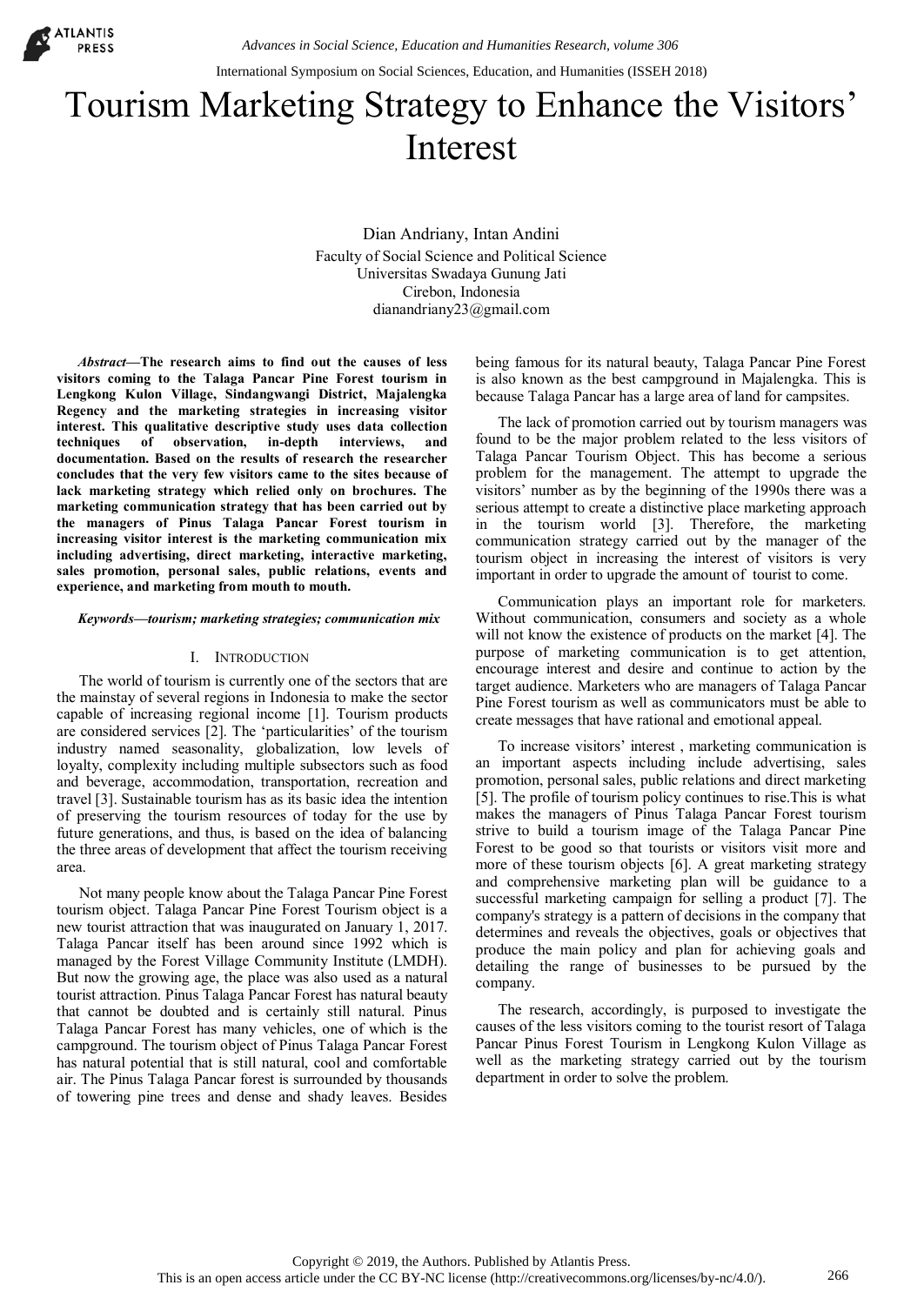

# Tourism Marketing Strategy to Enhance the Visitors' Interest

Dian Andriany, Intan Andini Faculty of Social Science and Political Science Universitas Swadaya Gunung Jati Cirebon, Indonesia dianandriany23@gmail.com

*Abstract***—The research aims to find out the causes of less visitors coming to the Talaga Pancar Pine Forest tourism in Lengkong Kulon Village, Sindangwangi District, Majalengka Regency and the marketing strategies in increasing visitor interest. This qualitative descriptive study uses data collection techniques of observation, in-depth interviews, and documentation. Based on the results of research the researcher concludes that the very few visitors came to the sites because of lack marketing strategy which relied only on brochures. The marketing communication strategy that has been carried out by the managers of Pinus Talaga Pancar Forest tourism in increasing visitor interest is the marketing communication mix including advertising, direct marketing, interactive marketing, sales promotion, personal sales, public relations, events and experience, and marketing from mouth to mouth.**

#### *Keywords—tourism; marketing strategies; communication mix*

## I. INTRODUCTION

The world of tourism is currently one of the sectors that are the mainstay of several regions in Indonesia to make the sector capable of increasing regional income [1]. Tourism products are considered services [2]. The 'particularities' of the tourism industry named seasonality, globalization, low levels of loyalty, complexity including multiple subsectors such as food and beverage, accommodation, transportation, recreation and travel [3]. Sustainable tourism has as its basic idea the intention of preserving the tourism resources of today for the use by future generations, and thus, is based on the idea of balancing the three areas of development that affect the tourism receiving area.

Not many people know about the Talaga Pancar Pine Forest tourism object. Talaga Pancar Pine Forest Tourism object is a new tourist attraction that was inaugurated on January 1, 2017. Talaga Pancar itself has been around since 1992 which is managed by the Forest Village Community Institute (LMDH). But now the growing age, the place was also used as a natural tourist attraction. Pinus Talaga Pancar Forest has natural beauty that cannot be doubted and is certainly still natural. Pinus Talaga Pancar Forest has many vehicles, one of which is the campground. The tourism object of Pinus Talaga Pancar Forest has natural potential that is still natural, cool and comfortable air. The Pinus Talaga Pancar forest is surrounded by thousands of towering pine trees and dense and shady leaves. Besides

being famous for its natural beauty, Talaga Pancar Pine Forest is also known as the best campground in Majalengka. This is because Talaga Pancar has a large area of land for campsites.

The lack of promotion carried out by tourism managers was found to be the major problem related to the less visitors of Talaga Pancar Tourism Object. This has become a serious problem for the management. The attempt to upgrade the visitors' number as by the beginning of the 1990s there was a serious attempt to create a distinctive place marketing approach in the tourism world [3]. Therefore, the marketing communication strategy carried out by the manager of the tourism object in increasing the interest of visitors is very important in order to upgrade the amount of tourist to come.

Communication plays an important role for marketers. Without communication, consumers and society as a whole will not know the existence of products on the market [4]. The purpose of marketing communication is to get attention, encourage interest and desire and continue to action by the target audience. Marketers who are managers of Talaga Pancar Pine Forest tourism as well as communicators must be able to create messages that have rational and emotional appeal.

To increase visitors' interest , marketing communication is an important aspects including include advertising, sales promotion, personal sales, public relations and direct marketing [5]. The profile of tourism policy continues to rise.This is what makes the managers of Pinus Talaga Pancar Forest tourism strive to build a tourism image of the Talaga Pancar Pine Forest to be good so that tourists or visitors visit more and more of these tourism objects [6]. A great marketing strategy and comprehensive marketing plan will be guidance to a successful marketing campaign for selling a product [7]. The company's strategy is a pattern of decisions in the company that determines and reveals the objectives, goals or objectives that produce the main policy and plan for achieving goals and detailing the range of businesses to be pursued by the company. International Symposium on Social Sciences, Education, and Humanities (ISSEH 2018)<br>
International Sciences Sciences of Distribution (ISSEH 2018)<br>
Dian Andrining the Course of the Authors. Published Science<br>
There is a mode

The research, accordingly, is purposed to investigate the causes of the less visitors coming to the tourist resort of Talaga Pancar Pinus Forest Tourism in Lengkong Kulon Village as well as the marketing strategy carried out by the tourism department in order to solve the problem.